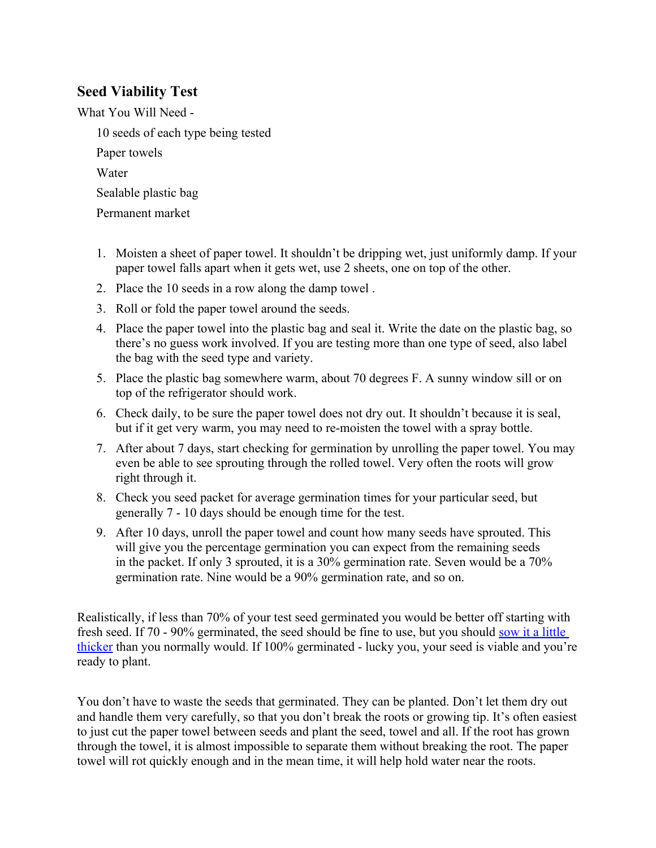## **Seed Viability Test**

What You Will Need -

10 seeds of each type being tested

Paper towels

Water

Sealable plastic bag

Permanent market

- 1. Moisten a sheet of paper towel. It shouldn't be dripping wet, just uniformly damp. If your paper towel falls apart when it gets wet, use 2 sheets, one on top of the other.
- 2. Place the 10 seeds in a row along the damp towel .
- 3. Roll or fold the paper towel around the seeds.
- 4. Place the paper towel into the plastic bag and seal it. Write the date on the plastic bag, so there's no guess work involved. If you are testing more than one type of seed, also label the bag with the seed type and variety.
- 5. Place the plastic bag somewhere warm, about 70 degrees F. A sunny window sill or on top of the refrigerator should work.
- 6. Check daily, to be sure the paper towel does not dry out. It shouldn't because it is seal, but if it get very warm, you may need to re-moisten the towel with a spray bottle.
- 7. After about 7 days, start checking for germination by unrolling the paper towel. You may even be able to see sprouting through the rolled towel. Very often the roots will grow right through it.
- 8. Check you seed packet for average germination times for your particular seed, but generally 7 - 10 days should be enough time for the test.
- 9. After 10 days, unroll the paper towel and count how many seeds have sprouted. This will give you the percentage germination you can expect from the remaining seeds in the packet. If only 3 sprouted, it is a 30% germination rate. Seven would be a 70% germination rate. Nine would be a 90% germination rate, and so on.

Realistically, if less than 70% of your test seed germinated you would be better off starting with fresh seed. If 70 - 90% germinated, the seed should be fine to use, but you should [sow it a little](/od/seedstarting/f/What-Is-Direct-Seeding-Or-Direct-Sowing.htm)  [thicker](/od/seedstarting/f/What-Is-Direct-Seeding-Or-Direct-Sowing.htm) than you normally would. If 100% germinated - lucky you, your seed is viable and you're ready to plant.

You don't have to waste the seeds that germinated. They can be planted. Don't let them dry out and handle them very carefully, so that you don't break the roots or growing tip. It's often easiest to just cut the paper towel between seeds and plant the seed, towel and all. If the root has grown through the towel, it is almost impossible to separate them without breaking the root. The paper towel will rot quickly enough and in the mean time, it will help hold water near the roots.